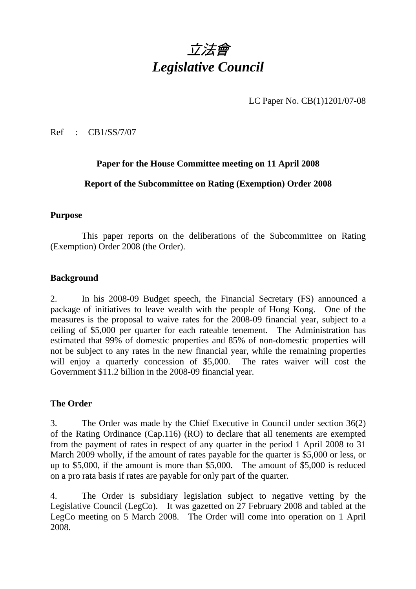

LC Paper No. CB(1)1201/07-08

Ref : CB1/SS/7/07

# **Paper for the House Committee meeting on 11 April 2008**

# **Report of the Subcommittee on Rating (Exemption) Order 2008**

## **Purpose**

 This paper reports on the deliberations of the Subcommittee on Rating (Exemption) Order 2008 (the Order).

# **Background**

2. In his 2008-09 Budget speech, the Financial Secretary (FS) announced a package of initiatives to leave wealth with the people of Hong Kong. One of the measures is the proposal to waive rates for the 2008-09 financial year, subject to a ceiling of \$5,000 per quarter for each rateable tenement. The Administration has estimated that 99% of domestic properties and 85% of non-domestic properties will not be subject to any rates in the new financial year, while the remaining properties will enjoy a quarterly concession of \$5,000. The rates waiver will cost the Government \$11.2 billion in the 2008-09 financial year.

#### **The Order**

3. The Order was made by the Chief Executive in Council under section 36(2) of the Rating Ordinance (Cap.116) (RO) to declare that all tenements are exempted from the payment of rates in respect of any quarter in the period 1 April 2008 to 31 March 2009 wholly, if the amount of rates payable for the quarter is \$5,000 or less, or up to \$5,000, if the amount is more than \$5,000. The amount of \$5,000 is reduced on a pro rata basis if rates are payable for only part of the quarter.

4. The Order is subsidiary legislation subject to negative vetting by the Legislative Council (LegCo). It was gazetted on 27 February 2008 and tabled at the LegCo meeting on 5 March 2008. The Order will come into operation on 1 April 2008.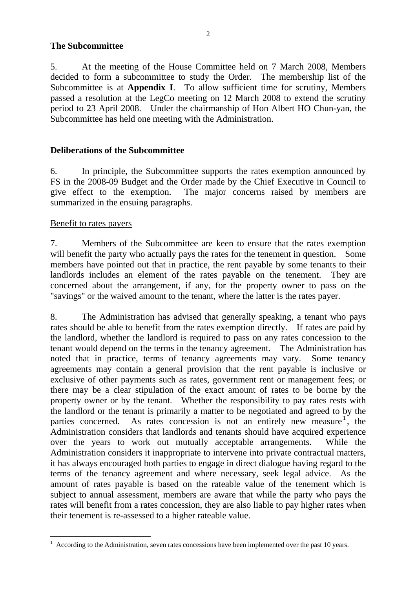## **The Subcommittee**

5. At the meeting of the House Committee held on 7 March 2008, Members decided to form a subcommittee to study the Order. The membership list of the Subcommittee is at **Appendix I**. To allow sufficient time for scrutiny, Members passed a resolution at the LegCo meeting on 12 March 2008 to extend the scrutiny period to 23 April 2008. Under the chairmanship of Hon Albert HO Chun-yan, the Subcommittee has held one meeting with the Administration.

# **Deliberations of the Subcommittee**

6. In principle, the Subcommittee supports the rates exemption announced by FS in the 2008-09 Budget and the Order made by the Chief Executive in Council to give effect to the exemption. The major concerns raised by members are summarized in the ensuing paragraphs.

## Benefit to rates payers

7. Members of the Subcommittee are keen to ensure that the rates exemption will benefit the party who actually pays the rates for the tenement in question. Some members have pointed out that in practice, the rent payable by some tenants to their landlords includes an element of the rates payable on the tenement. They are concerned about the arrangement, if any, for the property owner to pass on the "savings" or the waived amount to the tenant, where the latter is the rates payer.

8. The Administration has advised that generally speaking, a tenant who pays rates should be able to benefit from the rates exemption directly. If rates are paid by the landlord, whether the landlord is required to pass on any rates concession to the tenant would depend on the terms in the tenancy agreement. The Administration has noted that in practice, terms of tenancy agreements may vary. Some tenancy agreements may contain a general provision that the rent payable is inclusive or exclusive of other payments such as rates, government rent or management fees; or there may be a clear stipulation of the exact amount of rates to be borne by the property owner or by the tenant. Whether the responsibility to pay rates rests with the landlord or the tenant is primarily a matter to be negotiated and agreed to by the parties concerned. As rates concession is not an entirely new measure<sup>1</sup>, the Administration considers that landlords and tenants should have acquired experience over the years to work out mutually acceptable arrangements. While the Administration considers it inappropriate to intervene into private contractual matters, it has always encouraged both parties to engage in direct dialogue having regard to the terms of the tenancy agreement and where necessary, seek legal advice. As the amount of rates payable is based on the rateable value of the tenement which is subject to annual assessment, members are aware that while the party who pays the rates will benefit from a rates concession, they are also liable to pay higher rates when their tenement is re-assessed to a higher rateable value.

<sup>&</sup>lt;sup>1</sup> According to the Administration, seven rates concessions have been implemented over the past 10 years.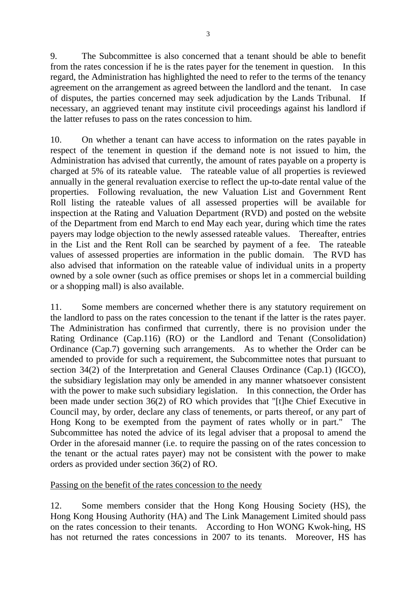9. The Subcommittee is also concerned that a tenant should be able to benefit from the rates concession if he is the rates payer for the tenement in question. In this regard, the Administration has highlighted the need to refer to the terms of the tenancy agreement on the arrangement as agreed between the landlord and the tenant. In case of disputes, the parties concerned may seek adjudication by the Lands Tribunal. If necessary, an aggrieved tenant may institute civil proceedings against his landlord if the latter refuses to pass on the rates concession to him.

10. On whether a tenant can have access to information on the rates payable in respect of the tenement in question if the demand note is not issued to him, the Administration has advised that currently, the amount of rates payable on a property is charged at 5% of its rateable value. The rateable value of all properties is reviewed annually in the general revaluation exercise to reflect the up-to-date rental value of the properties. Following revaluation, the new Valuation List and Government Rent Roll listing the rateable values of all assessed properties will be available for inspection at the Rating and Valuation Department (RVD) and posted on the website of the Department from end March to end May each year, during which time the rates payers may lodge objection to the newly assessed rateable values. Thereafter, entries in the List and the Rent Roll can be searched by payment of a fee. The rateable values of assessed properties are information in the public domain. The RVD has also advised that information on the rateable value of individual units in a property owned by a sole owner (such as office premises or shops let in a commercial building or a shopping mall) is also available.

11. Some members are concerned whether there is any statutory requirement on the landlord to pass on the rates concession to the tenant if the latter is the rates payer. The Administration has confirmed that currently, there is no provision under the Rating Ordinance (Cap.116) (RO) or the Landlord and Tenant (Consolidation) Ordinance (Cap.7) governing such arrangements. As to whether the Order can be amended to provide for such a requirement, the Subcommittee notes that pursuant to section 34(2) of the Interpretation and General Clauses Ordinance (Cap.1) (IGCO), the subsidiary legislation may only be amended in any manner whatsoever consistent with the power to make such subsidiary legislation. In this connection, the Order has been made under section 36(2) of RO which provides that "[t]he Chief Executive in Council may, by order, declare any class of tenements, or parts thereof, or any part of Hong Kong to be exempted from the payment of rates wholly or in part." The Subcommittee has noted the advice of its legal adviser that a proposal to amend the Order in the aforesaid manner (i.e. to require the passing on of the rates concession to the tenant or the actual rates payer) may not be consistent with the power to make orders as provided under section 36(2) of RO.

# Passing on the benefit of the rates concession to the needy

12. Some members consider that the Hong Kong Housing Society (HS), the Hong Kong Housing Authority (HA) and The Link Management Limited should pass on the rates concession to their tenants. According to Hon WONG Kwok-hing, HS has not returned the rates concessions in 2007 to its tenants. Moreover, HS has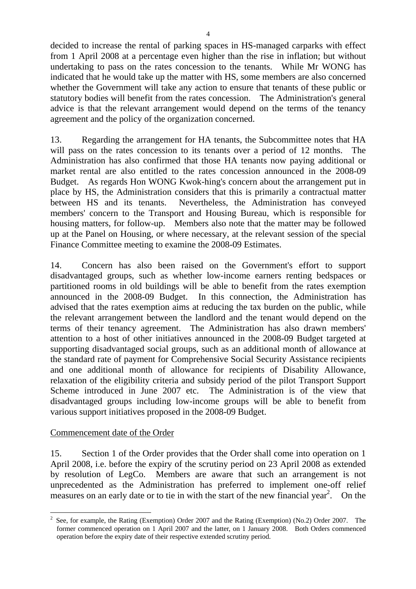decided to increase the rental of parking spaces in HS-managed carparks with effect from 1 April 2008 at a percentage even higher than the rise in inflation; but without undertaking to pass on the rates concession to the tenants. While Mr WONG has indicated that he would take up the matter with HS, some members are also concerned whether the Government will take any action to ensure that tenants of these public or statutory bodies will benefit from the rates concession. The Administration's general advice is that the relevant arrangement would depend on the terms of the tenancy agreement and the policy of the organization concerned.

13. Regarding the arrangement for HA tenants, the Subcommittee notes that HA will pass on the rates concession to its tenants over a period of 12 months. The Administration has also confirmed that those HA tenants now paying additional or market rental are also entitled to the rates concession announced in the 2008-09 Budget. As regards Hon WONG Kwok-hing's concern about the arrangement put in place by HS, the Administration considers that this is primarily a contractual matter between HS and its tenants. Nevertheless, the Administration has conveyed members' concern to the Transport and Housing Bureau, which is responsible for housing matters, for follow-up. Members also note that the matter may be followed up at the Panel on Housing, or where necessary, at the relevant session of the special Finance Committee meeting to examine the 2008-09 Estimates.

14. Concern has also been raised on the Government's effort to support disadvantaged groups, such as whether low-income earners renting bedspaces or partitioned rooms in old buildings will be able to benefit from the rates exemption announced in the 2008-09 Budget. In this connection, the Administration has advised that the rates exemption aims at reducing the tax burden on the public, while the relevant arrangement between the landlord and the tenant would depend on the terms of their tenancy agreement. The Administration has also drawn members' attention to a host of other initiatives announced in the 2008-09 Budget targeted at supporting disadvantaged social groups, such as an additional month of allowance at the standard rate of payment for Comprehensive Social Security Assistance recipients and one additional month of allowance for recipients of Disability Allowance, relaxation of the eligibility criteria and subsidy period of the pilot Transport Support Scheme introduced in June 2007 etc. The Administration is of the view that disadvantaged groups including low-income groups will be able to benefit from various support initiatives proposed in the 2008-09 Budget.

#### Commencement date of the Order

15. Section 1 of the Order provides that the Order shall come into operation on 1 April 2008, i.e. before the expiry of the scrutiny period on 23 April 2008 as extended by resolution of LegCo. Members are aware that such an arrangement is not unprecedented as the Administration has preferred to implement one-off relief measures on an early date or to tie in with the start of the new financial year<sup>2</sup>. On the

 $\overline{a}$ 2 See, for example, the Rating (Exemption) Order 2007 and the Rating (Exemption) (No.2) Order 2007. The former commenced operation on 1 April 2007 and the latter, on 1 January 2008. Both Orders commenced operation before the expiry date of their respective extended scrutiny period.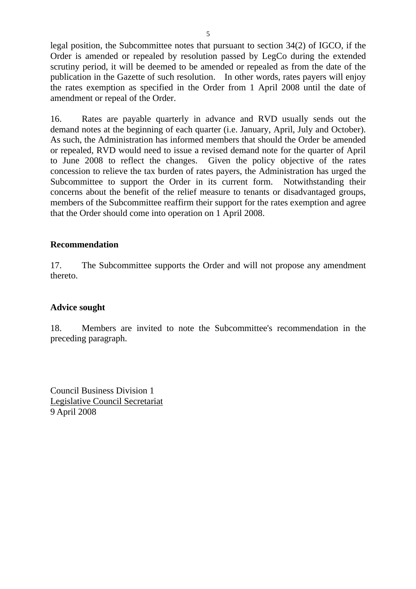legal position, the Subcommittee notes that pursuant to section 34(2) of IGCO, if the Order is amended or repealed by resolution passed by LegCo during the extended scrutiny period, it will be deemed to be amended or repealed as from the date of the publication in the Gazette of such resolution. In other words, rates payers will enjoy the rates exemption as specified in the Order from 1 April 2008 until the date of amendment or repeal of the Order.

16. Rates are payable quarterly in advance and RVD usually sends out the demand notes at the beginning of each quarter (i.e. January, April, July and October). As such, the Administration has informed members that should the Order be amended or repealed, RVD would need to issue a revised demand note for the quarter of April to June 2008 to reflect the changes. Given the policy objective of the rates concession to relieve the tax burden of rates payers, the Administration has urged the Subcommittee to support the Order in its current form. Notwithstanding their concerns about the benefit of the relief measure to tenants or disadvantaged groups, members of the Subcommittee reaffirm their support for the rates exemption and agree that the Order should come into operation on 1 April 2008.

## **Recommendation**

17. The Subcommittee supports the Order and will not propose any amendment thereto.

#### **Advice sought**

18. Members are invited to note the Subcommittee's recommendation in the preceding paragraph.

Council Business Division 1 Legislative Council Secretariat 9 April 2008